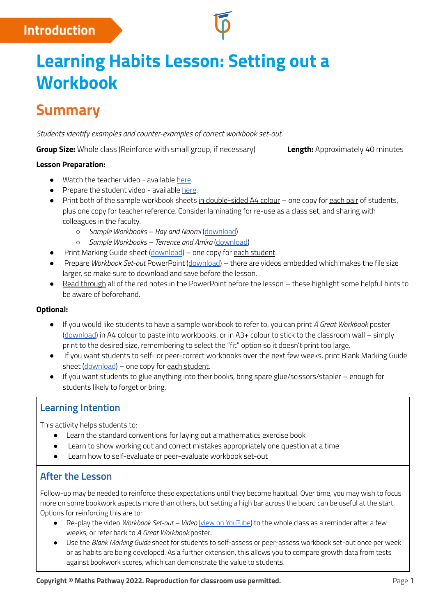## **Introduction**

# **Learning Habits Lesson: Setting out a Workbook**

# **Summary**

*Students identify examples and counter-examples of correct workbook set-out.*

**Group Size:** Whole class (Reinforce with small group, if necessary) **Length:** Approximately 40 minutes

#### **Lesson Preparation:**

- Watch the teacher video available [here](https://www.youtube.com/watch?v=ttV2S_cgHlI).
- Prepare the student video available [here](https://www.youtube.com/watch?v=ID-FhvAHBuc).
- Print both of the sample workbook sheets in double-sided A4 colour one copy for each pair of students, plus one copy for teacher reference. Consider laminating for re-use as a class set, and sharing with colleagues in the faculty.
	- *Sample Workbooks – Ray and Naomi* ([download\)](http://mpcontent.blob.core.windows.net/public/Student%20Workbook%20Example%20-%20Students%201%20and%202.pdf)
	- *Sample Workbooks – Terrence and Amira* [\(download\)](http://mpcontent.blob.core.windows.net/public/Student%20Workbook%20Example%20-%20Students%203%20and%204.pdf)
	- Print Marking Guide sheet [\(download](http://mpcontent.blob.core.windows.net/public/Marking%20Guide.pdf)) one copy for each student.
- Prepare *Workbook Set-out* PowerPoint ([download\)](https://mpcontent.blob.core.windows.net/public/Workbook%20Setout%20PowerPoint.pptx) there are videos embedded which makes the file size larger, so make sure to download and save before the lesson.
- Read through all of the red notes in the PowerPoint before the lesson these highlight some helpful hints to be aware of beforehand.

#### **Optional:**

- If you would like students to have a sample workbook to refer to, you can print *A Great Workbook* poster [\(download](http://mpcontent.blob.core.windows.net/public/WorkbookPoster-A2+.pdf)) in A4 colour to paste into workbooks, or in A3+ colour to stick to the classroom wall – simply print to the desired size, remembering to select the "fit" option so it doesn't print too large.
- If you want students to self- or peer-correct workbooks over the next few weeks, print Blank Marking Guide sheet [\(download](http://mpcontent.blob.core.windows.net/public/Blank%20Marking%20Guide.pdf)) – one copy for each student.
- If you want students to glue anything into their books, bring spare glue/scissors/stapler enough for students likely to forget or bring.

## **Learning Intention**

This activity helps students to:

- Learn the standard conventions for laying out a mathematics exercise book
- Learn to show working out and correct mistakes appropriately one question at a time
- Learn how to self-evaluate or peer-evaluate workbook set-out

### **After the Lesson**

Follow-up may be needed to reinforce these expectations until they become habitual. Over time, you may wish to focus more on some bookwork aspects more than others, but setting a high bar across the board can be useful at the start. Options for reinforcing this are to:

- Re-play the video *Workbook Set-out – Video* (view on [YouTube\)](https://www.youtube.com/watch?v=ID-FhvAHBuc) to the whole class as a reminder after a few weeks, or refer back to *A Great Workbook* poster*.*
- Use the *Blank Marking Guide* sheet for students to self-assess or peer-assess workbook set-out once per week or as habits are being developed. As a further extension, this allows you to compare growth data from tests against bookwork scores, which can demonstrate the value to students.